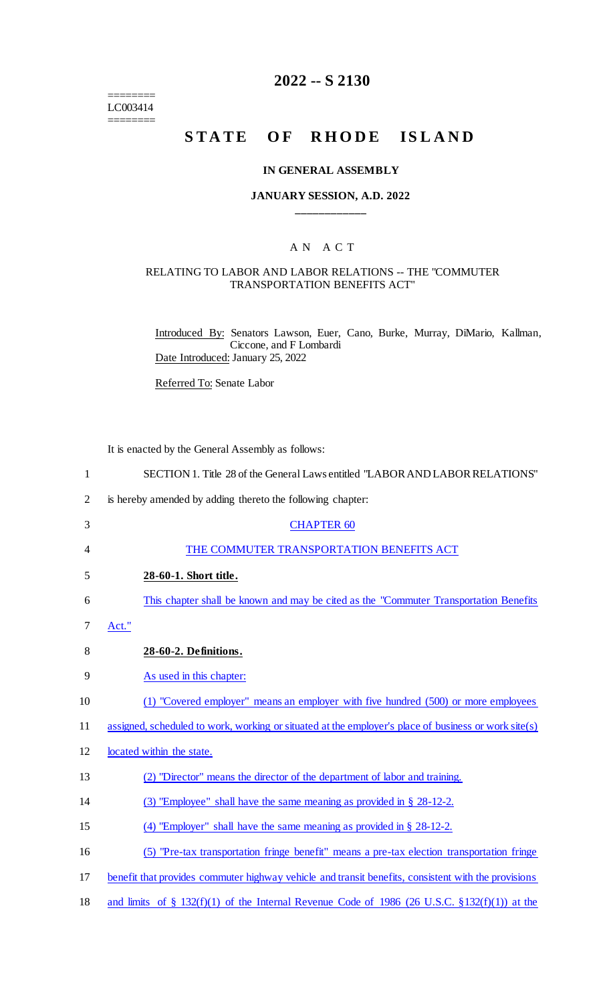======== LC003414 ========

## **2022 -- S 2130**

# **STATE OF RHODE ISLAND**

#### **IN GENERAL ASSEMBLY**

### **JANUARY SESSION, A.D. 2022 \_\_\_\_\_\_\_\_\_\_\_\_**

## A N A C T

#### RELATING TO LABOR AND LABOR RELATIONS -- THE "COMMUTER TRANSPORTATION BENEFITS ACT"

Introduced By: Senators Lawson, Euer, Cano, Burke, Murray, DiMario, Kallman, Ciccone, and F Lombardi Date Introduced: January 25, 2022

Referred To: Senate Labor

It is enacted by the General Assembly as follows:

| $\mathbf{1}$   | SECTION 1. Title 28 of the General Laws entitled "LABOR AND LABOR RELATIONS"                         |
|----------------|------------------------------------------------------------------------------------------------------|
| $\overline{2}$ | is hereby amended by adding thereto the following chapter:                                           |
| 3              | <b>CHAPTER 60</b>                                                                                    |
| 4              | THE COMMUTER TRANSPORTATION BENEFITS ACT                                                             |
| 5              | 28-60-1. Short title.                                                                                |
| 6              | This chapter shall be known and may be cited as the "Commuter Transportation Benefits"               |
| 7              | Act."                                                                                                |
| 8              | 28-60-2. Definitions.                                                                                |
| 9              | As used in this chapter:                                                                             |
| 10             | (1) "Covered employer" means an employer with five hundred (500) or more employees                   |
| 11             | assigned, scheduled to work, working or situated at the employer's place of business or work site(s) |
| 12             | located within the state.                                                                            |
| 13             | (2) "Director" means the director of the department of labor and training.                           |
| 14             | (3) "Employee" shall have the same meaning as provided in $\S$ 28-12-2.                              |
| 15             | (4) "Employer" shall have the same meaning as provided in $\S$ 28-12-2.                              |
| 16             | (5) "Pre-tax transportation fringe benefit" means a pre-tax election transportation fringe           |
| 17             | benefit that provides commuter highway vehicle and transit benefits, consistent with the provisions  |
| 18             | and limits of § 132(f)(1) of the Internal Revenue Code of 1986 (26 U.S.C. § 132(f)(1)) at the        |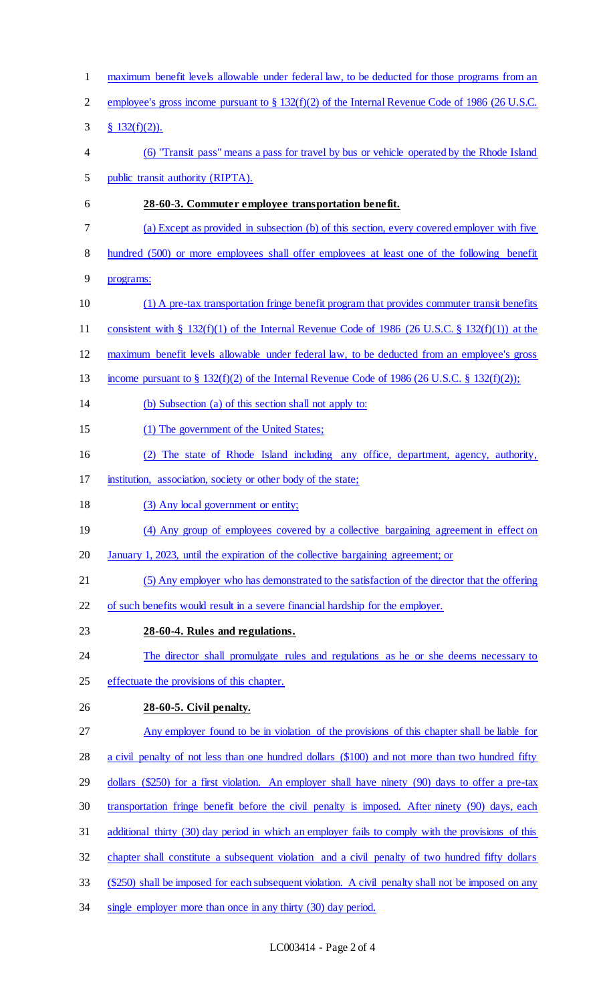maximum benefit levels allowable under federal law, to be deducted for those programs from an employee's gross income pursuant to § 132(f)(2) of the Internal Revenue Code of 1986 (26 U.S.C. § 132(f)(2)). (6) "Transit pass" means a pass for travel by bus or vehicle operated by the Rhode Island public transit authority (RIPTA). **28-60-3. Commuter employee transportation benefit.**  (a) Except as provided in subsection (b) of this section, every covered employer with five 8 hundred (500) or more employees shall offer employees at least one of the following benefit programs: (1) A pre-tax transportation fringe benefit program that provides commuter transit benefits consistent with § 132(f)(1) of the Internal Revenue Code of 1986 (26 U.S.C. § 132(f)(1)) at the maximum benefit levels allowable under federal law, to be deducted from an employee's gross income pursuant to § 132(f)(2) of the Internal Revenue Code of 1986 (26 U.S.C. § 132(f)(2)); (b) Subsection (a) of this section shall not apply to: (1) The government of the United States; (2) The state of Rhode Island including any office, department, agency, authority, institution, association, society or other body of the state; 18 (3) Any local government or entity; 19 (4) Any group of employees covered by a collective bargaining agreement in effect on January 1, 2023, until the expiration of the collective bargaining agreement; or (5) Any employer who has demonstrated to the satisfaction of the director that the offering of such benefits would result in a severe financial hardship for the employer. **28-60-4. Rules and regulations.**  24 The director shall promulgate rules and regulations as he or she deems necessary to effectuate the provisions of this chapter. **28-60-5. Civil penalty.**  Any employer found to be in violation of the provisions of this chapter shall be liable for a civil penalty of not less than one hundred dollars (\$100) and not more than two hundred fifty dollars (\$250) for a first violation. An employer shall have ninety (90) days to offer a pre-tax transportation fringe benefit before the civil penalty is imposed. After ninety (90) days, each additional thirty (30) day period in which an employer fails to comply with the provisions of this chapter shall constitute a subsequent violation and a civil penalty of two hundred fifty dollars (\$250) shall be imposed for each subsequent violation. A civil penalty shall not be imposed on any 34 single employer more than once in any thirty (30) day period.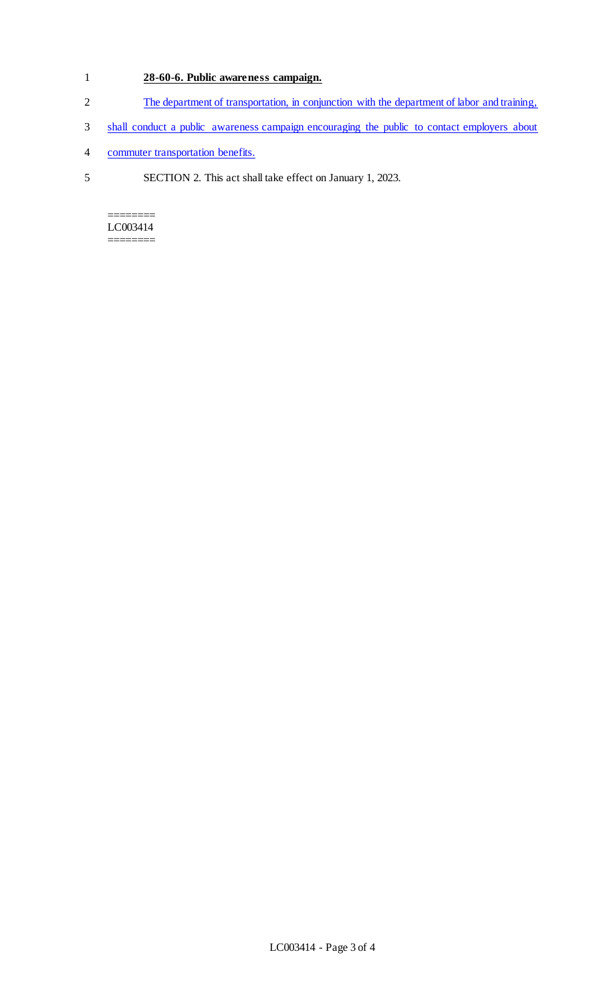## 1 **28-60-6. Public awareness campaign.**

- 2 The department of transportation, in conjunction with the department of labor and training,
- 3 shall conduct a public awareness campaign encouraging the public to contact employers about
- 4 commuter transportation benefits.
- 5 SECTION 2. This act shall take effect on January 1, 2023.

======== LC003414 ========